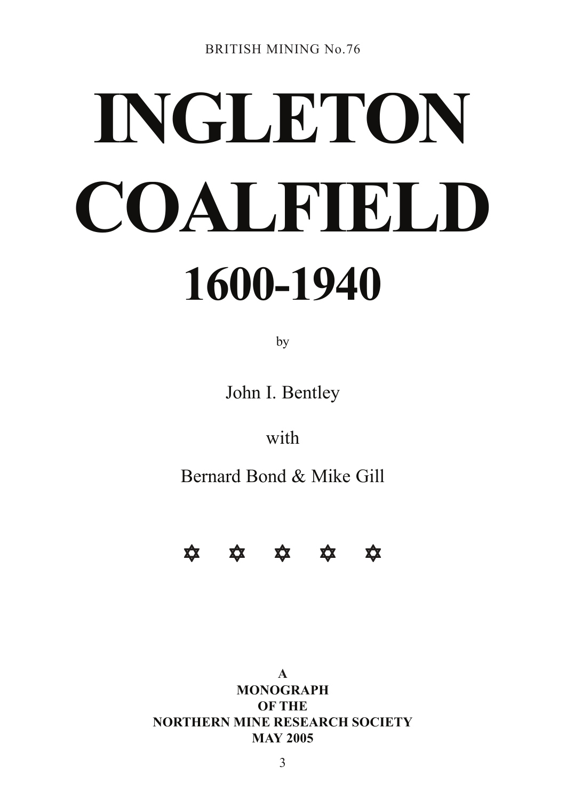# **INGLETON COALFIELD 1600-1940**

by

John I. Bentley

with

Bernard Bond & Mike Gill



**A MONOGRAPH OF THE NORTHERN MINE RESEARCH SOCIETY MAY 2005**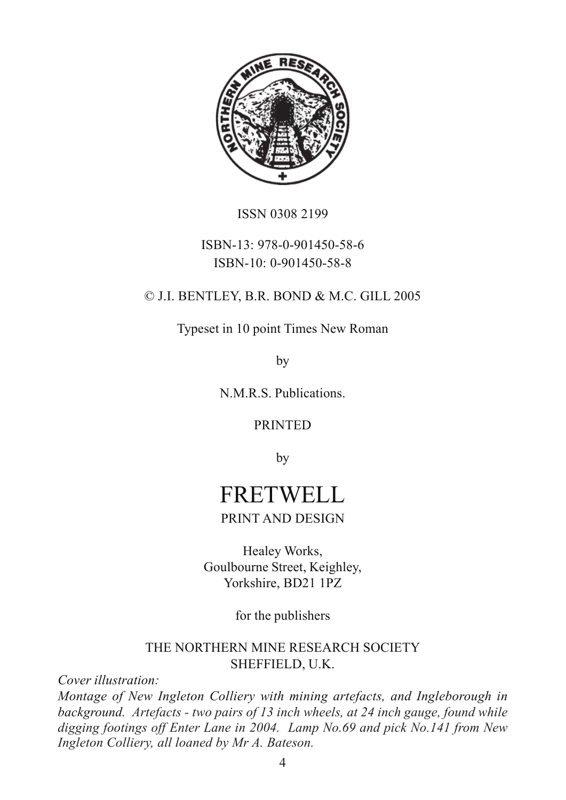

ISSN 0308 2199

# ISBN-13: 978-0-901450-58-6 ISBN-10: 0-901450-58-8

# © J.I. BENTLEY, B.R. BOND & M.C. GILL 2005

Typeset in 10 point Times New Roman

by

N.M.R.S. Publications.

#### PRINTED

by

# FRETWELL PRINT AND DESIGN

Healey Works, Goulbourne Street, Keighley, Yorkshire, BD21 1PZ

for the publishers

#### THE NORTHERN MINE RESEARCH SOCIETY SHEFFIELD, U.K.

*Cover illustration:*

*Montage of New Ingleton Colliery with mining artefacts, and Ingleborough in background. Artefacts - two pairs of 13 inch wheels, at 24 inch gauge, found while digging footings off Enter Lane in 2004. Lamp No.69 and pick No.141 from New Ingleton Colliery, all loaned by Mr A. Bateson.*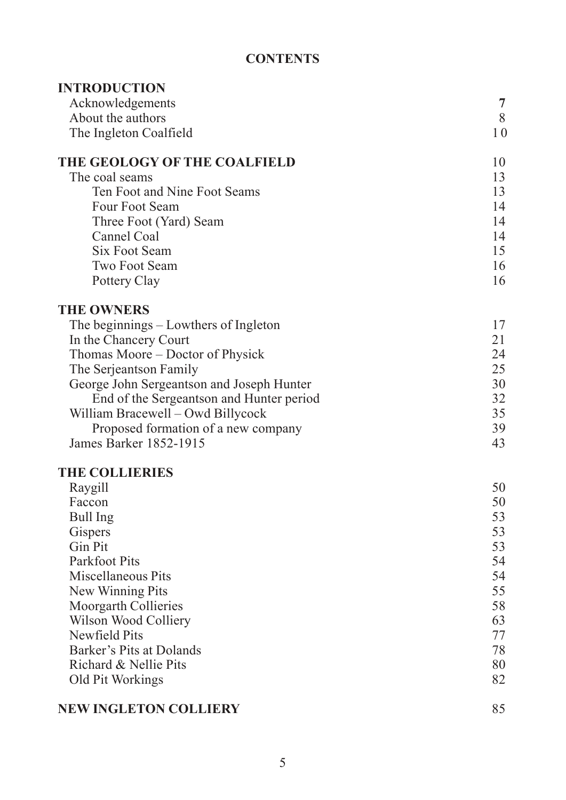# **CONTENTS**

| <b>INTRODUCTION</b>                                           |          |
|---------------------------------------------------------------|----------|
| Acknowledgements                                              | 7        |
| About the authors                                             | 8        |
| The Ingleton Coalfield                                        | 10       |
| THE GEOLOGY OF THE COALFIELD                                  | 10       |
| The coal seams                                                | 13       |
| Ten Foot and Nine Foot Seams                                  | 13       |
| Four Foot Seam                                                | 14       |
| Three Foot (Yard) Seam                                        | 14       |
| Cannel Coal                                                   | 14       |
| Six Foot Seam                                                 | 15       |
| <b>Two Foot Seam</b>                                          | 16       |
| Pottery Clay                                                  | 16       |
| <b>THE OWNERS</b>                                             |          |
| The beginnings – Lowthers of Ingleton                         | 17       |
| In the Chancery Court                                         | 21       |
| Thomas Moore – Doctor of Physick                              | 24       |
| The Serjeantson Family                                        | 25       |
| George John Sergeantson and Joseph Hunter                     | 30       |
| End of the Sergeantson and Hunter period                      | 32       |
| William Bracewell - Owd Billycock                             | 35       |
| Proposed formation of a new company<br>James Barker 1852-1915 | 39<br>43 |
|                                                               |          |
| <b>THE COLLIERIES</b>                                         |          |
| Raygill                                                       | 50       |
| Faccon                                                        | 50       |
| <b>Bull Ing</b>                                               | 53       |
| Gispers<br>Gin Pit                                            | 53       |
| Parkfoot Pits                                                 | 53<br>54 |
| Miscellaneous Pits                                            | 54       |
| New Winning Pits                                              | 55       |
| <b>Moorgarth Collieries</b>                                   | 58       |
| Wilson Wood Colliery                                          | 63       |
| <b>Newfield Pits</b>                                          | 77       |
| Barker's Pits at Dolands                                      | 78       |
| Richard & Nellie Pits                                         | 80       |
| Old Pit Workings                                              | 82       |
|                                                               |          |

# **NEW INGLETON COLLIERY** 85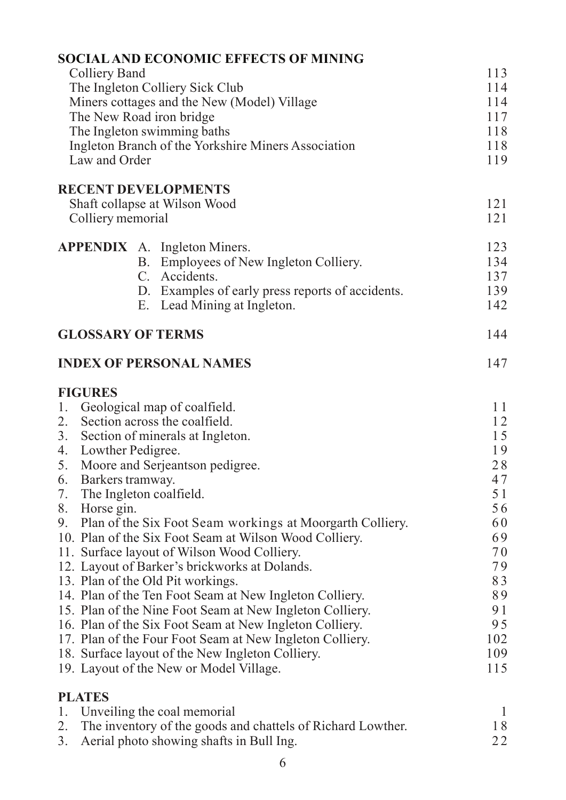|                                                                                                        | <b>SOCIAL AND ECONOMIC EFFECTS OF MINING</b>                |              |  |  |               |                                                     |     |
|--------------------------------------------------------------------------------------------------------|-------------------------------------------------------------|--------------|--|--|---------------|-----------------------------------------------------|-----|
| <b>Colliery Band</b>                                                                                   |                                                             | 113          |  |  |               |                                                     |     |
| The Ingleton Colliery Sick Club                                                                        |                                                             |              |  |  |               |                                                     |     |
| Miners cottages and the New (Model) Village<br>The New Road iron bridge<br>The Ingleton swimming baths |                                                             |              |  |  |               |                                                     |     |
|                                                                                                        |                                                             |              |  |  |               | Ingleton Branch of the Yorkshire Miners Association | 118 |
|                                                                                                        |                                                             |              |  |  | Law and Order |                                                     | 119 |
|                                                                                                        | <b>RECENT DEVELOPMENTS</b>                                  |              |  |  |               |                                                     |     |
|                                                                                                        | Shaft collapse at Wilson Wood                               | 121          |  |  |               |                                                     |     |
|                                                                                                        | Colliery memorial                                           | 121          |  |  |               |                                                     |     |
|                                                                                                        | <b>APPENDIX</b> A. Ingleton Miners.                         | 123          |  |  |               |                                                     |     |
|                                                                                                        | B. Employees of New Ingleton Colliery.                      | 134          |  |  |               |                                                     |     |
|                                                                                                        | C. Accidents.                                               | 137          |  |  |               |                                                     |     |
|                                                                                                        | D. Examples of early press reports of accidents.            | 139          |  |  |               |                                                     |     |
|                                                                                                        | E. Lead Mining at Ingleton.                                 | 142          |  |  |               |                                                     |     |
|                                                                                                        | <b>GLOSSARY OF TERMS</b>                                    | 144          |  |  |               |                                                     |     |
|                                                                                                        | <b>INDEX OF PERSONAL NAMES</b>                              | 147          |  |  |               |                                                     |     |
| <b>FIGURES</b>                                                                                         |                                                             |              |  |  |               |                                                     |     |
| 1.                                                                                                     | Geological map of coalfield.                                | 11           |  |  |               |                                                     |     |
|                                                                                                        | 2. Section across the coalfield.                            | 12           |  |  |               |                                                     |     |
| 3.                                                                                                     | Section of minerals at Ingleton.                            | 15           |  |  |               |                                                     |     |
| 4.                                                                                                     | Lowther Pedigree.                                           | 19           |  |  |               |                                                     |     |
|                                                                                                        | 5. Moore and Serjeantson pedigree.                          | 28           |  |  |               |                                                     |     |
| 6.                                                                                                     | Barkers tramway.                                            | 47           |  |  |               |                                                     |     |
| 7.                                                                                                     | The Ingleton coalfield.                                     | 5 1          |  |  |               |                                                     |     |
| 8. Horse gin.                                                                                          |                                                             | 56<br>60     |  |  |               |                                                     |     |
| 9. Plan of the Six Foot Seam workings at Moorgarth Colliery.                                           |                                                             |              |  |  |               |                                                     |     |
| 10. Plan of the Six Foot Seam at Wilson Wood Colliery.<br>11. Surface layout of Wilson Wood Colliery.  |                                                             |              |  |  |               |                                                     |     |
|                                                                                                        | 12. Layout of Barker's brickworks at Dolands.               | 70<br>79     |  |  |               |                                                     |     |
|                                                                                                        |                                                             | 83           |  |  |               |                                                     |     |
| 13. Plan of the Old Pit workings.<br>14. Plan of the Ten Foot Seam at New Ingleton Colliery.           |                                                             |              |  |  |               |                                                     |     |
| 15. Plan of the Nine Foot Seam at New Ingleton Colliery.                                               |                                                             |              |  |  |               |                                                     |     |
| 16. Plan of the Six Foot Seam at New Ingleton Colliery.                                                |                                                             |              |  |  |               |                                                     |     |
| 17. Plan of the Four Foot Seam at New Ingleton Colliery.                                               |                                                             |              |  |  |               |                                                     |     |
| 18. Surface layout of the New Ingleton Colliery.                                                       |                                                             |              |  |  |               |                                                     |     |
|                                                                                                        | 19. Layout of the New or Model Village.                     | 109<br>115   |  |  |               |                                                     |     |
| <b>PLATES</b>                                                                                          |                                                             |              |  |  |               |                                                     |     |
| 1.                                                                                                     | Unveiling the coal memorial                                 | $\mathbf{I}$ |  |  |               |                                                     |     |
| 2.                                                                                                     | The inventory of the goods and chattels of Richard Lowther. | 18           |  |  |               |                                                     |     |

3. Aerial photo showing shafts in Bull Ing. 22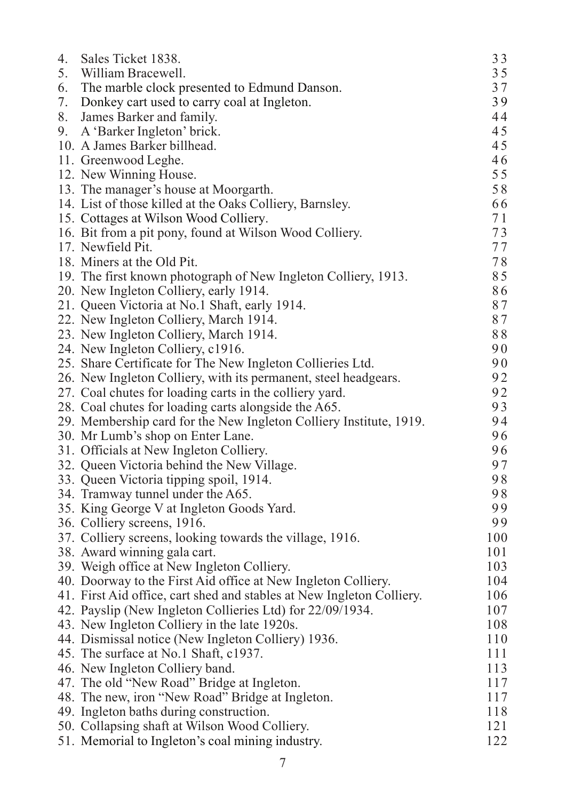| 4. | Sales Ticket 1838.                                                    | 33  |
|----|-----------------------------------------------------------------------|-----|
| 5. | William Bracewell.                                                    | 35  |
| 6. | The marble clock presented to Edmund Danson.                          | 37  |
| 7. | Donkey cart used to carry coal at Ingleton.                           | 39  |
| 8. | James Barker and family.                                              | 44  |
| 9. | A 'Barker Ingleton' brick.                                            | 45  |
|    | 10. A James Barker billhead.                                          | 45  |
|    | 11. Greenwood Leghe.                                                  | 46  |
|    | 12. New Winning House.                                                | 55  |
|    | 13. The manager's house at Moorgarth.                                 | 58  |
|    | 14. List of those killed at the Oaks Colliery, Barnsley.              | 66  |
|    | 15. Cottages at Wilson Wood Colliery.                                 | 71  |
|    | 16. Bit from a pit pony, found at Wilson Wood Colliery.               | 73  |
|    | 17. Newfield Pit.                                                     | 77  |
|    | 18. Miners at the Old Pit.                                            | 78  |
|    | 19. The first known photograph of New Ingleton Colliery, 1913.        | 85  |
|    | 20. New Ingleton Colliery, early 1914.                                | 86  |
|    | 21. Queen Victoria at No.1 Shaft, early 1914.                         | 87  |
|    | 22. New Ingleton Colliery, March 1914.                                | 87  |
|    | 23. New Ingleton Colliery, March 1914.                                | 88  |
|    | 24. New Ingleton Colliery, c1916.                                     | 90  |
|    | 25. Share Certificate for The New Ingleton Collieries Ltd.            | 90  |
|    | 26. New Ingleton Colliery, with its permanent, steel headgears.       | 92  |
|    | 27. Coal chutes for loading carts in the colliery yard.               | 92  |
|    | 28. Coal chutes for loading carts alongside the A65.                  | 93  |
|    | 29. Membership card for the New Ingleton Colliery Institute, 1919.    | 94  |
|    | 30. Mr Lumb's shop on Enter Lane.                                     | 96  |
|    | 31. Officials at New Ingleton Colliery.                               | 96  |
|    | 32. Queen Victoria behind the New Village.                            | 97  |
|    | 33. Queen Victoria tipping spoil, 1914.                               | 98  |
|    | 34. Tramway tunnel under the A65.                                     | 98  |
|    | 35. King George V at Ingleton Goods Yard.                             | 99  |
|    | 36. Colliery screens, 1916.                                           | 99  |
|    | 37. Colliery screens, looking towards the village, 1916.              | 100 |
|    | 38. Award winning gala cart.                                          | 101 |
|    | 39. Weigh office at New Ingleton Colliery.                            | 103 |
|    | 40. Doorway to the First Aid office at New Ingleton Colliery.         | 104 |
|    | 41. First Aid office, cart shed and stables at New Ingleton Colliery. | 106 |
|    | 42. Payslip (New Ingleton Collieries Ltd) for 22/09/1934.             | 107 |
|    | 43. New Ingleton Colliery in the late 1920s.                          | 108 |
|    | 44. Dismissal notice (New Ingleton Colliery) 1936.                    | 110 |
|    | 45. The surface at No.1 Shaft, c1937.                                 | 111 |
|    | 46. New Ingleton Colliery band.                                       | 113 |
|    | 47. The old "New Road" Bridge at Ingleton.                            | 117 |
|    | 48. The new, iron "New Road" Bridge at Ingleton.                      | 117 |
|    | 49. Ingleton baths during construction.                               | 118 |
|    | 50. Collapsing shaft at Wilson Wood Colliery.                         | 121 |
|    | 51. Memorial to Ingleton's coal mining industry.                      | 122 |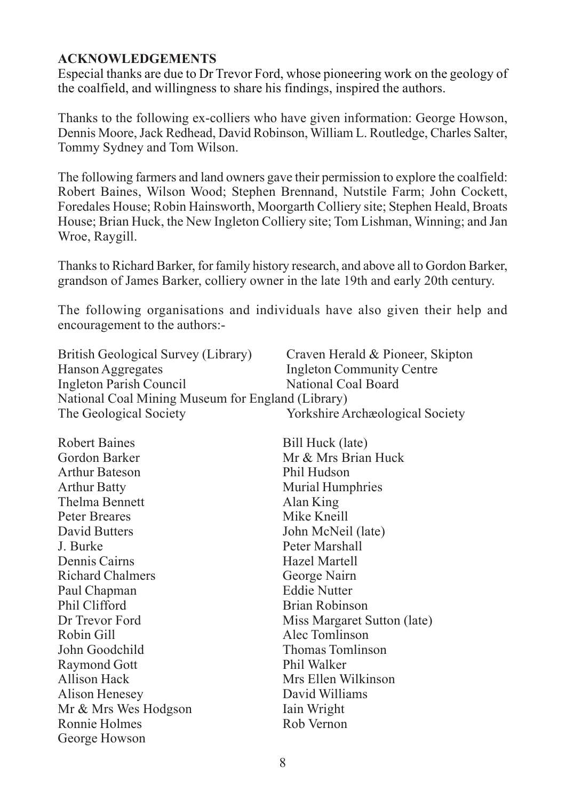#### **ACKNOWLEDGEMENTS**

Especial thanks are due to Dr Trevor Ford, whose pioneering work on the geology of the coalfield, and willingness to share his findings, inspired the authors.

Thanks to the following ex-colliers who have given information: George Howson, Dennis Moore, Jack Redhead, David Robinson, William L. Routledge, Charles Salter, Tommy Sydney and Tom Wilson.

The following farmers and land owners gave their permission to explore the coalfield: Robert Baines, Wilson Wood; Stephen Brennand, Nutstile Farm; John Cockett, Foredales House; Robin Hainsworth, Moorgarth Colliery site; Stephen Heald, Broats House; Brian Huck, the New Ingleton Colliery site; Tom Lishman, Winning; and Jan Wroe, Raygill.

Thanks to Richard Barker, for family history research, and above all to Gordon Barker, grandson of James Barker, colliery owner in the late 19th and early 20th century.

The following organisations and individuals have also given their help and encouragement to the authors:-

| British Geological Survey (Library)               | Craven Herald & Pioneer, Skipton        |  |  |
|---------------------------------------------------|-----------------------------------------|--|--|
| Hanson Aggregates                                 | <b>Ingleton Community Centre</b>        |  |  |
| Ingleton Parish Council                           | National Coal Board                     |  |  |
| National Coal Mining Museum for England (Library) |                                         |  |  |
| The Geological Society                            | <b>Yorkshire Archaeological Society</b> |  |  |

| Bill Huck (late)            |
|-----------------------------|
| Mr & Mrs Brian Huck         |
| Phil Hudson                 |
| <b>Murial Humphries</b>     |
| Alan King                   |
| Mike Kneill                 |
| John McNeil (late)          |
| Peter Marshall              |
| Hazel Martell               |
| George Nairn                |
| <b>Eddie Nutter</b>         |
| <b>Brian Robinson</b>       |
| Miss Margaret Sutton (late) |
| Alec Tomlinson              |
| <b>Thomas Tomlinson</b>     |
| Phil Walker                 |
| Mrs Ellen Wilkinson         |
| David Williams              |
| Iain Wright                 |
| Rob Vernon                  |
|                             |
|                             |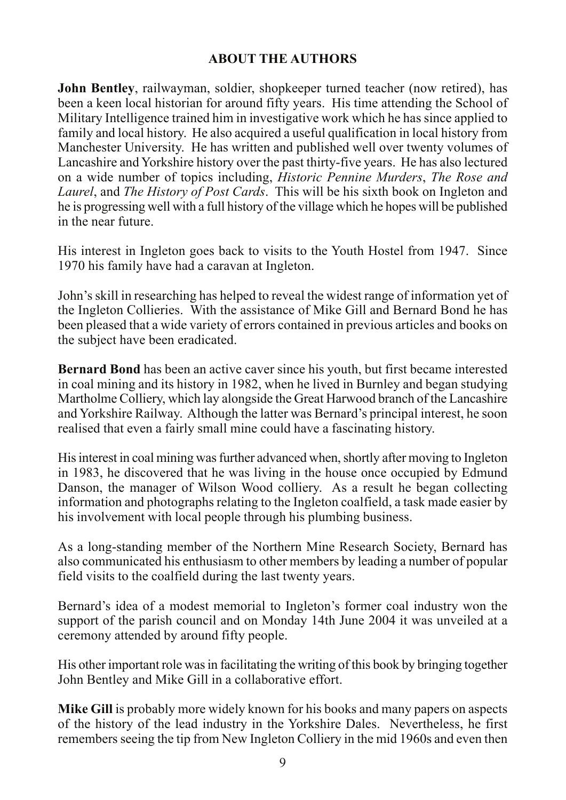# **ABOUT THE AUTHORS**

**John Bentley**, railwayman, soldier, shopkeeper turned teacher (now retired), has been a keen local historian for around fifty years. His time attending the School of Military Intelligence trained him in investigative work which he has since applied to family and local history. He also acquired a useful qualification in local history from Manchester University. He has written and published well over twenty volumes of Lancashire and Yorkshire history over the past thirty-five years. He has also lectured on a wide number of topics including, *Historic Pennine Murders*, *The Rose and Laurel*, and *The History of Post Cards*. This will be his sixth book on Ingleton and he is progressing well with a full history of the village which he hopes will be published in the near future.

His interest in Ingleton goes back to visits to the Youth Hostel from 1947. Since 1970 his family have had a caravan at Ingleton.

John's skill in researching has helped to reveal the widest range of information yet of the Ingleton Collieries. With the assistance of Mike Gill and Bernard Bond he has been pleased that a wide variety of errors contained in previous articles and books on the subject have been eradicated.

**Bernard Bond** has been an active caver since his youth, but first became interested in coal mining and its history in 1982, when he lived in Burnley and began studying Martholme Colliery, which lay alongside the Great Harwood branch of the Lancashire and Yorkshire Railway. Although the latter was Bernard's principal interest, he soon realised that even a fairly small mine could have a fascinating history.

His interest in coal mining was further advanced when, shortly after moving to Ingleton in 1983, he discovered that he was living in the house once occupied by Edmund Danson, the manager of Wilson Wood colliery. As a result he began collecting information and photographs relating to the Ingleton coalfield, a task made easier by his involvement with local people through his plumbing business.

As a long-standing member of the Northern Mine Research Society, Bernard has also communicated his enthusiasm to other members by leading a number of popular field visits to the coalfield during the last twenty years.

Bernard's idea of a modest memorial to Ingleton's former coal industry won the support of the parish council and on Monday 14th June 2004 it was unveiled at a ceremony attended by around fifty people.

His other important role was in facilitating the writing of this book by bringing together John Bentley and Mike Gill in a collaborative effort.

**Mike Gill** is probably more widely known for his books and many papers on aspects of the history of the lead industry in the Yorkshire Dales. Nevertheless, he first remembers seeing the tip from New Ingleton Colliery in the mid 1960s and even then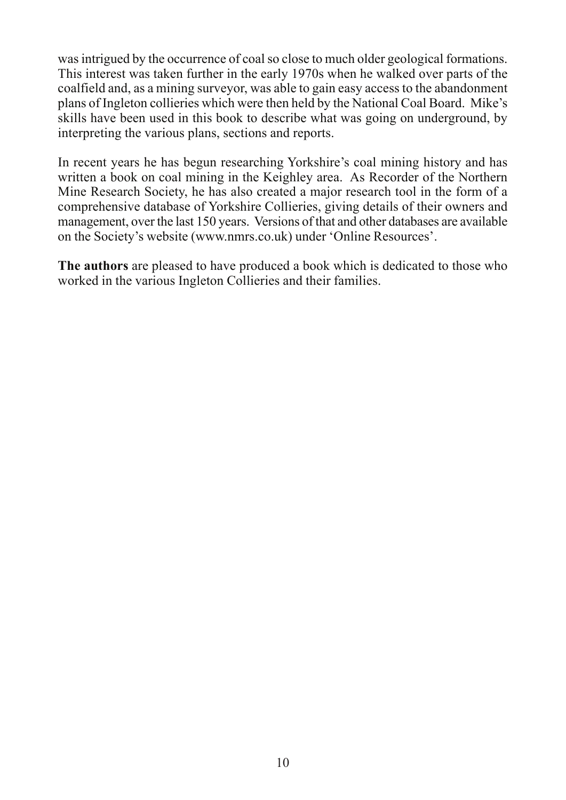was intrigued by the occurrence of coal so close to much older geological formations. This interest was taken further in the early 1970s when he walked over parts of the coalfield and, as a mining surveyor, was able to gain easy access to the abandonment plans of Ingleton collieries which were then held by the National Coal Board. Mike's skills have been used in this book to describe what was going on underground, by interpreting the various plans, sections and reports.

In recent years he has begun researching Yorkshire's coal mining history and has written a book on coal mining in the Keighley area. As Recorder of the Northern Mine Research Society, he has also created a major research tool in the form of a comprehensive database of Yorkshire Collieries, giving details of their owners and management, over the last 150 years. Versions of that and other databases are available on the Society's website (www.nmrs.co.uk) under 'Online Resources'.

**The authors** are pleased to have produced a book which is dedicated to those who worked in the various Ingleton Collieries and their families.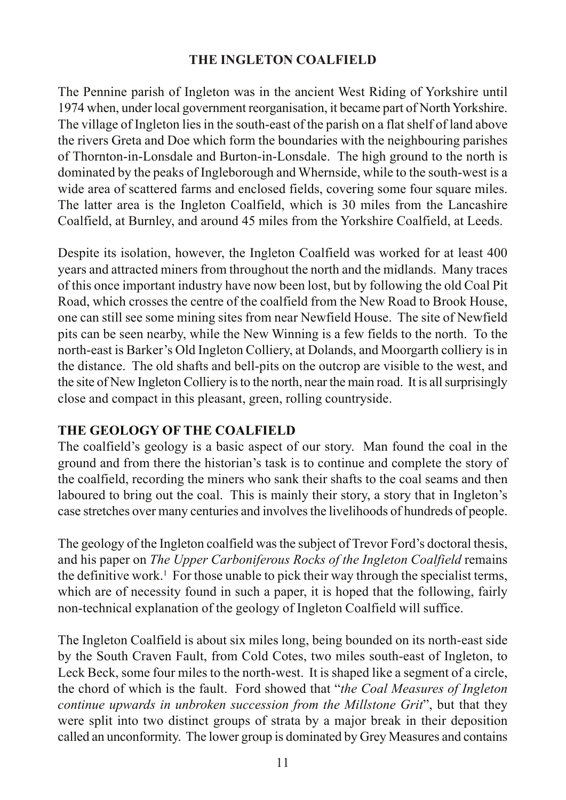# **THE INGLETON COALFIELD**

The Pennine parish of Ingleton was in the ancient West Riding of Yorkshire until 1974 when, under local government reorganisation, it became part of North Yorkshire. The village of Ingleton lies in the south-east of the parish on a flat shelf of land above the rivers Greta and Doe which form the boundaries with the neighbouring parishes of Thornton-in-Lonsdale and Burton-in-Lonsdale. The high ground to the north is dominated by the peaks of Ingleborough and Whernside, while to the south-west is a wide area of scattered farms and enclosed fields, covering some four square miles. The latter area is the Ingleton Coalfield, which is 30 miles from the Lancashire Coalfield, at Burnley, and around 45 miles from the Yorkshire Coalfield, at Leeds.

Despite its isolation, however, the Ingleton Coalfield was worked for at least 400 years and attracted miners from throughout the north and the midlands. Many traces of this once important industry have now been lost, but by following the old Coal Pit Road, which crosses the centre of the coalfield from the New Road to Brook House, one can still see some mining sites from near Newfield House. The site of Newfield pits can be seen nearby, while the New Winning is a few fields to the north. To the north-east is Barker's Old Ingleton Colliery, at Dolands, and Moorgarth colliery is in the distance. The old shafts and bell-pits on the outcrop are visible to the west, and the site of New Ingleton Colliery is to the north, near the main road. It is all surprisingly close and compact in this pleasant, green, rolling countryside.

# **THE GEOLOGY OF THE COALFIELD**

The coalfield's geology is a basic aspect of our story. Man found the coal in the ground and from there the historian's task is to continue and complete the story of the coalfield, recording the miners who sank their shafts to the coal seams and then laboured to bring out the coal. This is mainly their story, a story that in Ingleton's case stretches over many centuries and involves the livelihoods of hundreds of people.

The geology of the Ingleton coalfield was the subject of Trevor Ford's doctoral thesis, and his paper on *The Upper Carboniferous Rocks of the Ingleton Coalfield* remains the definitive work.<sup>1</sup> For those unable to pick their way through the specialist terms, which are of necessity found in such a paper, it is hoped that the following, fairly non-technical explanation of the geology of Ingleton Coalfield will suffice.

The Ingleton Coalfield is about six miles long, being bounded on its north-east side by the South Craven Fault, from Cold Cotes, two miles south-east of Ingleton, to Leck Beck, some four miles to the north-west. It is shaped like a segment of a circle, the chord of which is the fault. Ford showed that "*the Coal Measures of Ingleton continue upwards in unbroken succession from the Millstone Grit*", but that they were split into two distinct groups of strata by a major break in their deposition called an unconformity. The lower group is dominated by Grey Measures and contains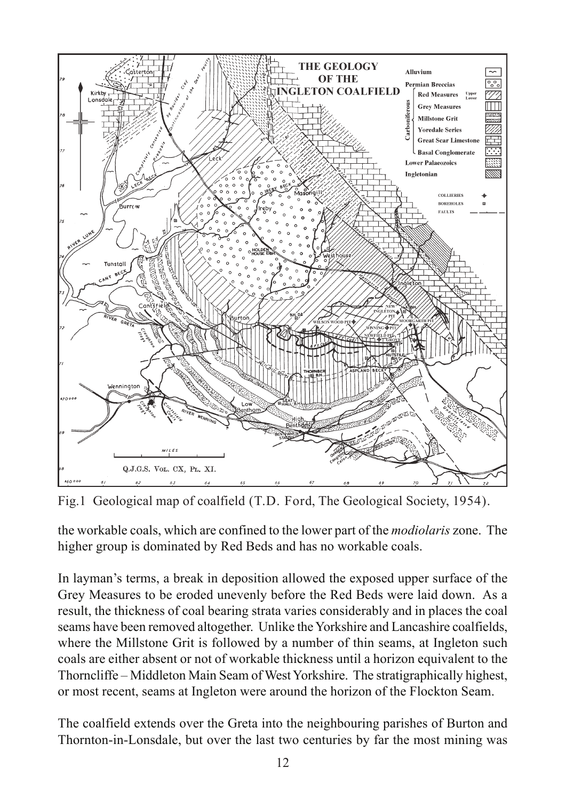

Fig.1 Geological map of coalfield (T.D. Ford, The Geological Society, 1954).

the workable coals, which are confined to the lower part of the *modiolaris* zone. The higher group is dominated by Red Beds and has no workable coals.

In layman's terms, a break in deposition allowed the exposed upper surface of the Grey Measures to be eroded unevenly before the Red Beds were laid down. As a result, the thickness of coal bearing strata varies considerably and in places the coal seams have been removed altogether. Unlike the Yorkshire and Lancashire coalfields, where the Millstone Grit is followed by a number of thin seams, at Ingleton such coals are either absent or not of workable thickness until a horizon equivalent to the Thorncliffe – Middleton Main Seam of West Yorkshire. The stratigraphically highest, or most recent, seams at Ingleton were around the horizon of the Flockton Seam.

The coalfield extends over the Greta into the neighbouring parishes of Burton and Thornton-in-Lonsdale, but over the last two centuries by far the most mining was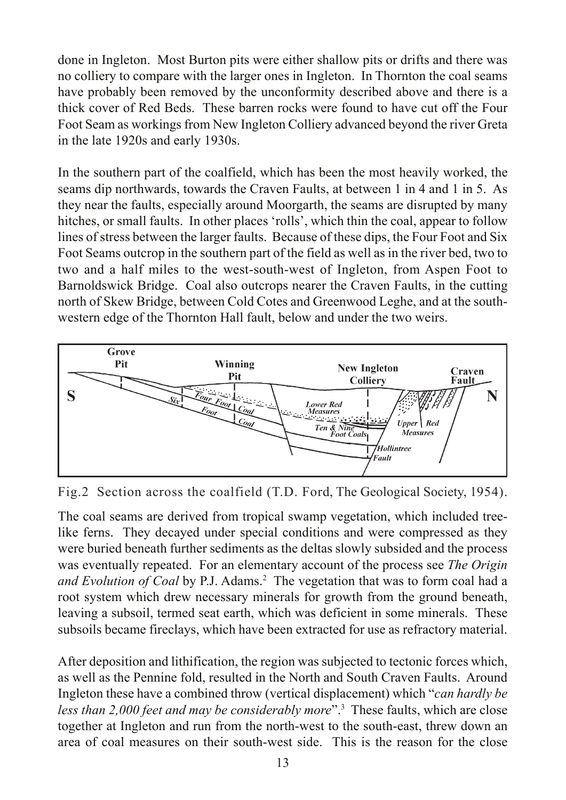done in Ingleton. Most Burton pits were either shallow pits or drifts and there was no colliery to compare with the larger ones in Ingleton. In Thornton the coal seams have probably been removed by the unconformity described above and there is a thick cover of Red Beds. These barren rocks were found to have cut off the Four Foot Seam as workings from New Ingleton Colliery advanced beyond the river Greta in the late 1920s and early 1930s.

In the southern part of the coalfield, which has been the most heavily worked, the seams dip northwards, towards the Craven Faults, at between 1 in 4 and 1 in 5. As they near the faults, especially around Moorgarth, the seams are disrupted by many hitches, or small faults. In other places 'rolls', which thin the coal, appear to follow lines of stress between the larger faults. Because of these dips, the Four Foot and Six Foot Seams outcrop in the southern part of the field as well as in the river bed, two to two and a half miles to the west-south-west of Ingleton, from Aspen Foot to Barnoldswick Bridge. Coal also outcrops nearer the Craven Faults, in the cutting north of Skew Bridge, between Cold Cotes and Greenwood Leghe, and at the southwestern edge of the Thornton Hall fault, below and under the two weirs.



Fig.2 Section across the coalfield (T.D. Ford, The Geological Society, 1954).

The coal seams are derived from tropical swamp vegetation, which included treelike ferns. They decayed under special conditions and were compressed as they were buried beneath further sediments as the deltas slowly subsided and the process was eventually repeated. For an elementary account of the process see *The Origin* and Evolution of Coal by P.J. Adams.<sup>2</sup> The vegetation that was to form coal had a root system which drew necessary minerals for growth from the ground beneath, leaving a subsoil, termed seat earth, which was deficient in some minerals. These subsoils became fireclays, which have been extracted for use as refractory material.

After deposition and lithification, the region was subjected to tectonic forces which, as well as the Pennine fold, resulted in the North and South Craven Faults. Around Ingleton these have a combined throw (vertical displacement) which "*can hardly be less than 2,000 feet and may be considerably more*".<sup>3</sup> These faults, which are close together at Ingleton and run from the north-west to the south-east, threw down an area of coal measures on their south-west side. This is the reason for the close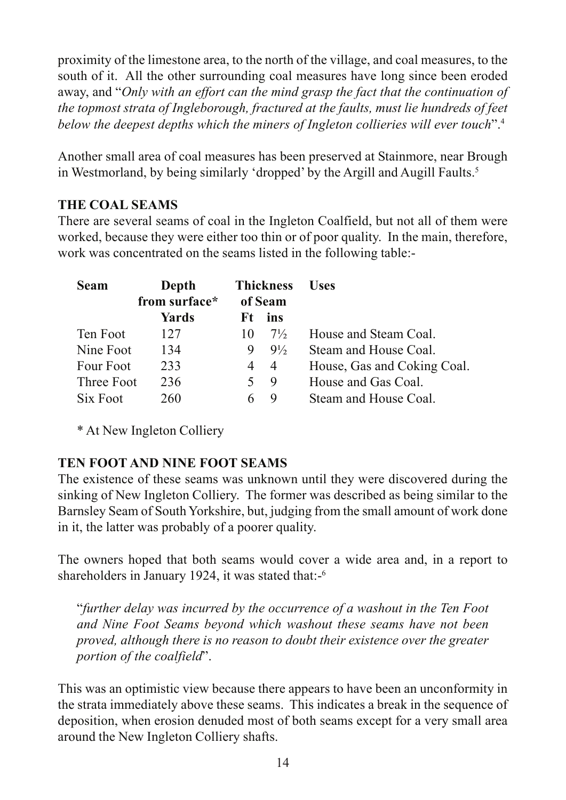proximity of the limestone area, to the north of the village, and coal measures, to the south of it. All the other surrounding coal measures have long since been eroded away, and "*Only with an effort can the mind grasp the fact that the continuation of the topmost strata of Ingleborough, fractured at the faults, must lie hundreds of feet below the deepest depths which the miners of Ingleton collieries will ever touch*".<sup>4</sup>

Another small area of coal measures has been preserved at Stainmore, near Brough in Westmorland, by being similarly 'dropped' by the Argill and Augill Faults.<sup>5</sup>

# **THE COAL SEAMS**

There are several seams of coal in the Ingleton Coalfield, but not all of them were worked, because they were either too thin or of poor quality. In the main, therefore, work was concentrated on the seams listed in the following table:-

| <b>Seam</b> | Depth<br>from surface* |     | <b>Thickness</b><br>of Seam | <b>Uses</b>                 |
|-------------|------------------------|-----|-----------------------------|-----------------------------|
|             | Yards                  | Ft. | ins                         |                             |
| Ten Foot    | 127                    | 10  | $7\frac{1}{2}$              | House and Steam Coal.       |
| Nine Foot   | 134                    | 9   | $9\frac{1}{2}$              | Steam and House Coal.       |
| Four Foot   | 233                    | 4   | $\overline{4}$              | House, Gas and Coking Coal. |
| Three Foot  | 236                    |     | 9                           | House and Gas Coal.         |
| Six Foot    | 260                    |     | Y                           | Steam and House Coal.       |

\* At New Ingleton Colliery

# **TEN FOOT AND NINE FOOT SEAMS**

The existence of these seams was unknown until they were discovered during the sinking of New Ingleton Colliery. The former was described as being similar to the Barnsley Seam of South Yorkshire, but, judging from the small amount of work done in it, the latter was probably of a poorer quality.

The owners hoped that both seams would cover a wide area and, in a report to shareholders in January 1924, it was stated that:-<sup>6</sup>

"*further delay was incurred by the occurrence of a washout in the Ten Foot and Nine Foot Seams beyond which washout these seams have not been proved, although there is no reason to doubt their existence over the greater portion of the coalfield*".

This was an optimistic view because there appears to have been an unconformity in the strata immediately above these seams. This indicates a break in the sequence of deposition, when erosion denuded most of both seams except for a very small area around the New Ingleton Colliery shafts.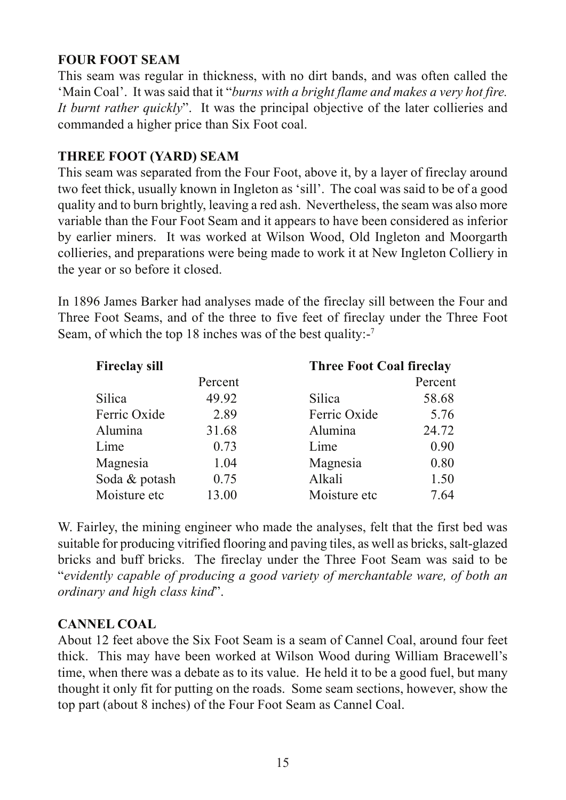# **FOUR FOOT SEAM**

This seam was regular in thickness, with no dirt bands, and was often called the 'Main Coal'. It was said that it "*burns with a bright flame and makes a very hot fire. It burnt rather quickly*". It was the principal objective of the later collieries and commanded a higher price than Six Foot coal.

# **THREE FOOT (YARD) SEAM**

This seam was separated from the Four Foot, above it, by a layer of fireclay around two feet thick, usually known in Ingleton as 'sill'. The coal was said to be of a good quality and to burn brightly, leaving a red ash. Nevertheless, the seam was also more variable than the Four Foot Seam and it appears to have been considered as inferior by earlier miners. It was worked at Wilson Wood, Old Ingleton and Moorgarth collieries, and preparations were being made to work it at New Ingleton Colliery in the year or so before it closed.

In 1896 James Barker had analyses made of the fireclay sill between the Four and Three Foot Seams, and of the three to five feet of fireclay under the Three Foot Seam, of which the top 18 inches was of the best quality:-<sup>7</sup>

| <b>Fireclay sill</b> |         | <b>Three Foot Coal fireclay</b> |         |
|----------------------|---------|---------------------------------|---------|
|                      | Percent |                                 | Percent |
| Silica               | 49.92   | Silica                          | 58.68   |
| Ferric Oxide         | 2.89    | Ferric Oxide                    | 5.76    |
| Alumina              | 31.68   | Alumina                         | 24.72   |
| Lime                 | 0.73    | Lime                            | 0.90    |
| Magnesia             | 1.04    | Magnesia                        | 0.80    |
| Soda & potash        | 0.75    | Alkali                          | 1.50    |
| Moisture etc         | 13.00   | Moisture etc                    | 7.64    |

W. Fairley, the mining engineer who made the analyses, felt that the first bed was suitable for producing vitrified flooring and paving tiles, as well as bricks, salt-glazed bricks and buff bricks. The fireclay under the Three Foot Seam was said to be "*evidently capable of producing a good variety of merchantable ware, of both an ordinary and high class kind*".

# **CANNEL COAL**

About 12 feet above the Six Foot Seam is a seam of Cannel Coal, around four feet thick. This may have been worked at Wilson Wood during William Bracewell's time, when there was a debate as to its value. He held it to be a good fuel, but many thought it only fit for putting on the roads. Some seam sections, however, show the top part (about 8 inches) of the Four Foot Seam as Cannel Coal.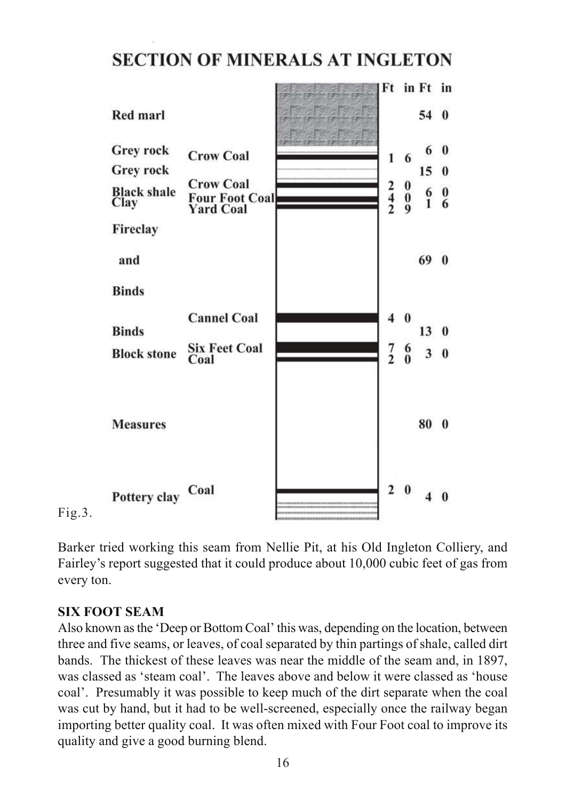# **SECTION OF MINERALS AT INGLETON**



Fig.3.

Barker tried working this seam from Nellie Pit, at his Old Ingleton Colliery, and Fairley's report suggested that it could produce about 10,000 cubic feet of gas from every ton.

# **SIX FOOT SEAM**

Also known as the 'Deep or Bottom Coal' this was, depending on the location, between three and five seams, or leaves, of coal separated by thin partings of shale, called dirt bands. The thickest of these leaves was near the middle of the seam and, in 1897, was classed as 'steam coal'. The leaves above and below it were classed as 'house coal'. Presumably it was possible to keep much of the dirt separate when the coal was cut by hand, but it had to be well-screened, especially once the railway began importing better quality coal. It was often mixed with Four Foot coal to improve its quality and give a good burning blend.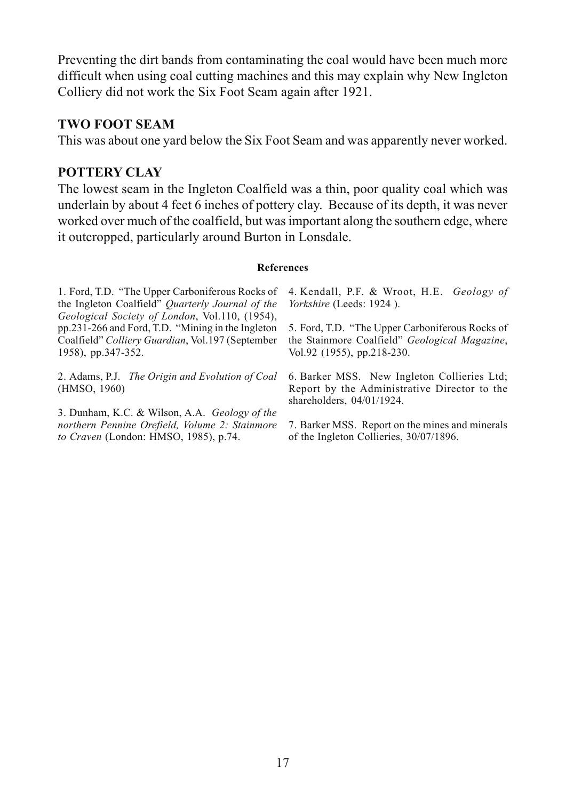Preventing the dirt bands from contaminating the coal would have been much more difficult when using coal cutting machines and this may explain why New Ingleton Colliery did not work the Six Foot Seam again after 1921.

#### **TWO FOOT SEAM**

This was about one yard below the Six Foot Seam and was apparently never worked.

#### **POTTERY CLAY**

The lowest seam in the Ingleton Coalfield was a thin, poor quality coal which was underlain by about 4 feet 6 inches of pottery clay. Because of its depth, it was never worked over much of the coalfield, but was important along the southern edge, where it outcropped, particularly around Burton in Lonsdale.

#### **References**

| 1. Ford, T.D. "The Upper Carboniferous Rocks of<br>the Ingleton Coalfield" Quarterly Journal of the<br>Geological Society of London, Vol.110, (1954), | 4. Kendall, P.F. & Wroot, H.E. Geology of<br><i>Yorkshire</i> (Leeds: 1924).                                                   |
|-------------------------------------------------------------------------------------------------------------------------------------------------------|--------------------------------------------------------------------------------------------------------------------------------|
| pp.231-266 and Ford, T.D. "Mining in the Ingleton"<br>Coalfield" Colliery Guardian, Vol.197 (September<br>1958), pp.347-352.                          | 5. Ford, T.D. "The Upper Carboniferous Rocks of<br>the Stainmore Coalfield" Geological Magazine,<br>Vol.92 (1955), pp.218-230. |
| 2. Adams, P.J. The Origin and Evolution of Coal<br>(HMSO, 1960)                                                                                       | 6. Barker MSS. New Ingleton Collieries Ltd,<br>Report by the Administrative Director to the<br>shareholders, $04/01/1924$ .    |
| 3. Dunham, K.C. & Wilson, A.A. Geology of the<br>northern Pennine Orefield, Volume 2: Stainmore<br>to Craven (London: HMSO, 1985), p.74.              | 7. Barker MSS. Report on the mines and minerals<br>of the Ingleton Collieries, 30/07/1896.                                     |